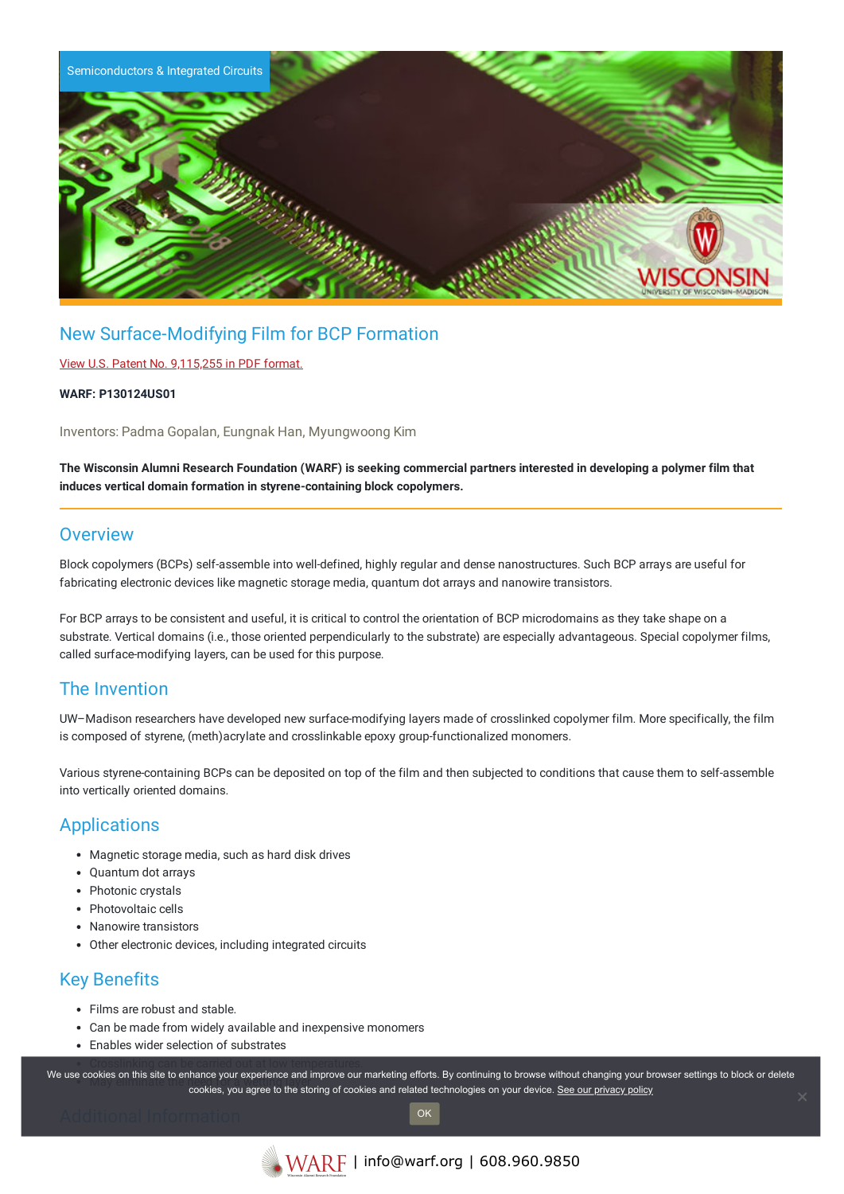

# New Surface-Modifying Film for BCP Formation

### View U.S. Patent No. [9,115,255](https://www.warf.org/wp-content/uploads/technologies/ipstatus/P130124US01.PDF) in PDF format.

#### **WARF: P130124US01**

Inventors: Padma Gopalan, Eungnak Han, Myungwoong Kim

The Wisconsin Alumni Research Foundation (WARF) is seeking commercial partners interested in developing a polymer film that **induces vertical domain formation in styrene-containing block copolymers.**

### **Overview**

Block copolymers (BCPs) self-assemble into well-defined, highly regular and dense nanostructures. Such BCP arrays are useful for fabricating electronic devices like magnetic storage media, quantum dot arrays and nanowire transistors.

For BCP arrays to be consistent and useful, it is critical to control the orientation of BCP microdomains as they take shape on a substrate. Vertical domains (i.e., those oriented perpendicularly to the substrate) are especially advantageous. Special copolymer films, called surface-modifying layers, can be used for this purpose.

## The Invention

UW–Madison researchers have developed new surface-modifying layers made of crosslinked copolymer film. More specifically, the film is composed of styrene, (meth)acrylate and crosslinkable epoxy group-functionalized monomers.

Various styrene-containing BCPs can be deposited on top of the film and then subjected to conditions that cause them to self-assemble into vertically oriented domains.

# **Applications**

- Magnetic storage media, such as hard disk drives
- Quantum dot arrays
- Photonic crystals
- Photovoltaic cells
- Nanowire transistors
- Other electronic devices, including integrated circuits

# Key Benefits

- Films are robust and stable.
- Can be made from widely available and inexpensive monomers
- Fnables wider selection of substrates

We use cookies on this site to enhance your experience and improve our marketing efforts. By continuing to browse without changing your browser settings to block or delete cookies, you agree to the storing of cookies and related technologies on your device. [See our privacy policy](https://www.warf.org/privacy-policy/)

OK